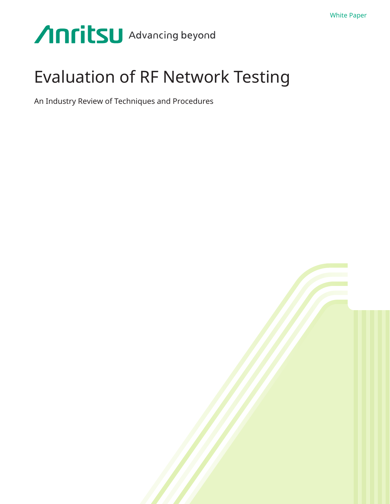# Anritsu Advancing beyond

## Evaluation of RF Network Testing

An Industry Review of Techniques and Procedures

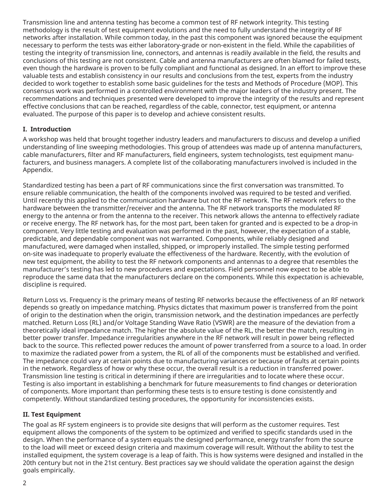Transmission line and antenna testing has become a common test of RF network integrity. This testing methodology is the result of test equipment evolutions and the need to fully understand the integrity of RF networks after installation. While common today, in the past this component was ignored because the equipment necessary to perform the tests was either laboratory-grade or non-existent in the field. While the capabilities of testing the integrity of transmission line, connectors, and antennas is readily available in the field, the results and conclusions of this testing are not consistent. Cable and antenna manufacturers are often blamed for failed tests, even though the hardware is proven to be fully compliant and functional as designed. In an effort to improve these valuable tests and establish consistency in our results and conclusions from the test, experts from the industry decided to work together to establish some basic guidelines for the tests and Methods of Procedure (MOP). This consensus work was performed in a controlled environment with the major leaders of the industry present. The recommendations and techniques presented were developed to improve the integrity of the results and represent effective conclusions that can be reached, regardless of the cable, connector, test equipment, or antenna evaluated. The purpose of this paper is to develop and achieve consistent results.

#### **I. Introduction**

A workshop was held that brought together industry leaders and manufacturers to discuss and develop a unified understanding of line sweeping methodologies. This group of attendees was made up of antenna manufacturers, cable manufacturers, filter and RF manufacturers, field engineers, system technologists, test equipment manufacturers, and business managers. A complete list of the collaborating manufacturers involved is included in the Appendix.

Standardized testing has been a part of RF communications since the first conversation was transmitted. To ensure reliable communication, the health of the components involved was required to be tested and verified. Until recently this applied to the communication hardware but not the RF network. The RF network refers to the hardware between the transmitter/receiver and the antenna. The RF network transports the modulated RF energy to the antenna or from the antenna to the receiver. This network allows the antenna to effectively radiate or receive energy. The RF network has, for the most part, been taken for granted and is expected to be a drop-in component. Very little testing and evaluation was performed in the past, however, the expectation of a stable, predictable, and dependable component was not warranted. Components, while reliably designed and manufactured, were damaged when installed, shipped, or improperly installed. The simple testing performed on-site was inadequate to properly evaluate the effectiveness of the hardware. Recently, with the evolution of new test equipment, the ability to test the RF network components and antennas to a degree that resembles the manufacturer's testing has led to new procedures and expectations. Field personnel now expect to be able to reproduce the same data that the manufacturers declare on the components. While this expectation is achievable, discipline is required.

Return Loss vs. Frequency is the primary means of testing RF networks because the effectiveness of an RF network depends so greatly on impedance matching. Physics dictates that maximum power is transferred from the point of origin to the destination when the origin, transmission network, and the destination impedances are perfectly matched. Return Loss (RL) and/or Voltage Standing Wave Ratio (VSWR) are the measure of the deviation from a theoretically ideal impedance match. The higher the absolute value of the RL, the better the match, resulting in better power transfer. Impedance irregularities anywhere in the RF network will result in power being reflected back to the source. This reflected power reduces the amount of power transferred from a source to a load. In order to maximize the radiated power from a system, the RL of all of the components must be established and verified. The impedance could vary at certain points due to manufacturing variances or because of faults at certain points in the network. Regardless of how or why these occur, the overall result is a reduction in transferred power. Transmission line testing is critical in determining if there are irregularities and to locate where these occur. Testing is also important in establishing a benchmark for future measurements to find changes or deterioration of components. More important than performing these tests is to ensure testing is done consistently and competently. Without standardized testing procedures, the opportunity for inconsistencies exists.

#### **II. Test Equipment**

The goal as RF system engineers is to provide site designs that will perform as the customer requires. Test equipment allows the components of the system to be optimized and verified to specific standards used in the design. When the performance of a system equals the designed performance, energy transfer from the source to the load will meet or exceed design criteria and maximum coverage will result. Without the ability to test the installed equipment, the system coverage is a leap of faith. This is how systems were designed and installed in the 20th century but not in the 21st century. Best practices say we should validate the operation against the design goals empirically.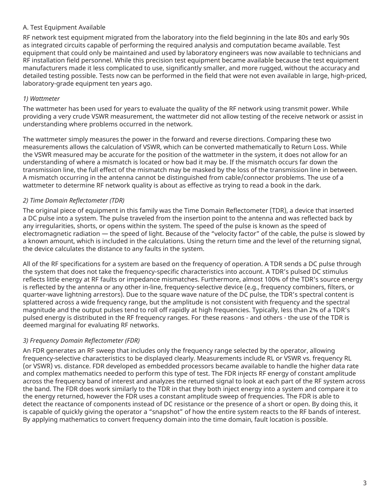#### A. Test Equipment Available

RF network test equipment migrated from the laboratory into the field beginning in the late 80s and early 90s as integrated circuits capable of performing the required analysis and computation became available. Test equipment that could only be maintained and used by laboratory engineers was now available to technicians and RF installation field personnel. While this precision test equipment became available because the test equipment manufacturers made it less complicated to use, significantly smaller, and more rugged, without the accuracy and detailed testing possible. Tests now can be performed in the field that were not even available in large, high-priced, laboratory-grade equipment ten years ago.

#### *1) Wattmeter*

The wattmeter has been used for years to evaluate the quality of the RF network using transmit power. While providing a very crude VSWR measurement, the wattmeter did not allow testing of the receive network or assist in understanding where problems occurred in the network.

The wattmeter simply measures the power in the forward and reverse directions. Comparing these two measurements allows the calculation of VSWR, which can be converted mathematically to Return Loss. While the VSWR measured may be accurate for the position of the wattmeter in the system, it does not allow for an understanding of where a mismatch is located or how bad it may be. If the mismatch occurs far down the transmission line, the full effect of the mismatch may be masked by the loss of the transmission line in between. A mismatch occurring in the antenna cannot be distinguished from cable/connector problems. The use of a wattmeter to determine RF network quality is about as effective as trying to read a book in the dark.

#### *2) Time Domain Reflectometer (TDR)*

The original piece of equipment in this family was the Time Domain Reflectometer (TDR), a device that inserted a DC pulse into a system. The pulse traveled from the insertion point to the antenna and was reflected back by any irregularities, shorts, or opens within the system. The speed of the pulse is known as the speed of electromagnetic radiation — the speed of light. Because of the "velocity factor" of the cable, the pulse is slowed by a known amount, which is included in the calculations. Using the return time and the level of the returning signal, the device calculates the distance to any faults in the system.

All of the RF specifications for a system are based on the frequency of operation. A TDR sends a DC pulse through the system that does not take the frequency-specific characteristics into account. A TDR's pulsed DC stimulus reflects little energy at RF faults or impedance mismatches. Furthermore, almost 100% of the TDR's source energy is reflected by the antenna or any other in-line, frequency-selective device (e.g., frequency combiners, filters, or quarter-wave lightning arrestors). Due to the square wave nature of the DC pulse, the TDR's spectral content is splattered across a wide frequency range, but the amplitude is not consistent with frequency and the spectral magnitude and the output pulses tend to roll off rapidly at high frequencies. Typically, less than 2% of a TDR's pulsed energy is distributed in the RF frequency ranges. For these reasons - and others - the use of the TDR is deemed marginal for evaluating RF networks.

#### *3) Frequency Domain Reflectometer (FDR)*

An FDR generates an RF sweep that includes only the frequency range selected by the operator, allowing frequency-selective characteristics to be displayed clearly. Measurements include RL or VSWR vs. frequency RL (or VSWR) vs. distance. FDR developed as embedded processors became available to handle the higher data rate and complex mathematics needed to perform this type of test. The FDR injects RF energy of constant amplitude across the frequency band of interest and analyzes the returned signal to look at each part of the RF system across the band. The FDR does work similarly to the TDR in that they both inject energy into a system and compare it to the energy returned, however the FDR uses a constant amplitude sweep of frequencies. The FDR is able to detect the reactance of components instead of DC resistance or the presence of a short or open. By doing this, it is capable of quickly giving the operator a "snapshot" of how the entire system reacts to the RF bands of interest. By applying mathematics to convert frequency domain into the time domain, fault location is possible.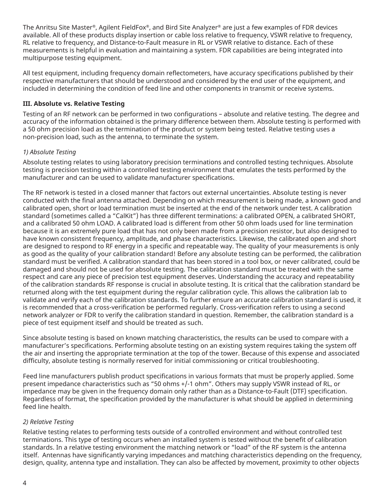The Anritsu Site Master®, Agilent FieldFox®, and Bird Site Analyzer® are just a few examples of FDR devices available. All of these products display insertion or cable loss relative to frequency, VSWR relative to frequency, RL relative to frequency, and Distance-to-Fault measure in RL or VSWR relative to distance. Each of these measurements is helpful in evaluation and maintaining a system. FDR capabilities are being integrated into multipurpose testing equipment.

All test equipment, including frequency domain reflectometers, have accuracy specifications published by their respective manufacturers that should be understood and considered by the end user of the equipment, and included in determining the condition of feed line and other components in transmit or receive systems.

## **III. Absolute vs. Relative Testing**

Testing of an RF network can be performed in two configurations – absolute and relative testing. The degree and accuracy of the information obtained is the primary difference between them. Absolute testing is performed with a 50 ohm precision load as the termination of the product or system being tested. Relative testing uses a non-precision load, such as the antenna, to terminate the system.

## *1) Absolute Testing*

Absolute testing relates to using laboratory precision terminations and controlled testing techniques. Absolute testing is precision testing within a controlled testing environment that emulates the tests performed by the manufacturer and can be used to validate manufacturer specifications.

The RF network is tested in a closed manner that factors out external uncertainties. Absolute testing is never conducted with the final antenna attached. Depending on which measurement is being made, a known good and calibrated open, short or load termination must be inserted at the end of the network under test. A calibration standard (sometimes called a "CalKit") has three different terminations: a calibrated OPEN, a calibrated SHORT, and a calibrated 50 ohm LOAD. A calibrated load is different from other 50 ohm loads used for line termination because it is an extremely pure load that has not only been made from a precision resistor, but also designed to have known consistent frequency, amplitude, and phase characteristics. Likewise, the calibrated open and short are designed to respond to RF energy in a specific and repeatable way. The quality of your measurements is only as good as the quality of your calibration standard! Before any absolute testing can be performed, the calibration standard must be verified. A calibration standard that has been stored in a tool box, or never calibrated, could be damaged and should not be used for absolute testing. The calibration standard must be treated with the same respect and care any piece of precision test equipment deserves. Understanding the accuracy and repeatability of the calibration standards RF response is crucial in absolute testing. It is critical that the calibration standard be returned along with the test equipment during the regular calibration cycle. This allows the calibration lab to validate and verify each of the calibration standards. To further ensure an accurate calibration standard is used, it is recommended that a cross-verification be performed regularly. Cross-verification refers to using a second network analyzer or FDR to verify the calibration standard in question. Remember, the calibration standard is a piece of test equipment itself and should be treated as such.

Since absolute testing is based on known matching characteristics, the results can be used to compare with a manufacturer's specifications. Performing absolute testing on an existing system requires taking the system off the air and inserting the appropriate termination at the top of the tower. Because of this expense and associated difficulty, absolute testing is normally reserved for initial commissioning or critical troubleshooting.

Feed line manufacturers publish product specifications in various formats that must be properly applied. Some present impedance characteristics such as "50 ohms +/-1 ohm". Others may supply VSWR instead of RL, or impedance may be given in the frequency domain only rather than as a Distance-to-Fault (DTF) specification. Regardless of format, the specification provided by the manufacturer is what should be applied in determining feed line health.

#### *2) Relative Testing*

Relative testing relates to performing tests outside of a controlled environment and without controlled test terminations. This type of testing occurs when an installed system is tested without the benefit of calibration standards. In a relative testing environment the matching network or "load" of the RF system is the antenna itself. Antennas have significantly varying impedances and matching characteristics depending on the frequency, design, quality, antenna type and installation. They can also be affected by movement, proximity to other objects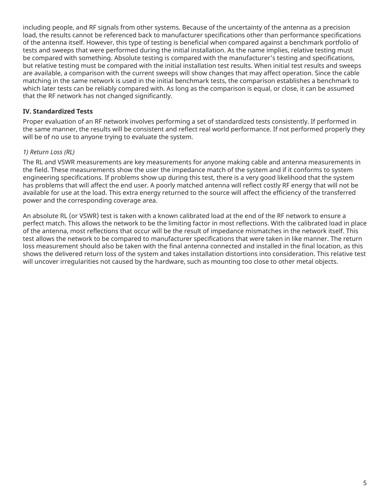including people, and RF signals from other systems. Because of the uncertainty of the antenna as a precision load, the results cannot be referenced back to manufacturer specifications other than performance specifications of the antenna itself. However, this type of testing is beneficial when compared against a benchmark portfolio of tests and sweeps that were performed during the initial installation. As the name implies, relative testing must be compared with something. Absolute testing is compared with the manufacturer's testing and specifications, but relative testing must be compared with the initial installation test results. When initial test results and sweeps are available, a comparison with the current sweeps will show changes that may affect operation. Since the cable matching in the same network is used in the initial benchmark tests, the comparison establishes a benchmark to which later tests can be reliably compared with. As long as the comparison is equal, or close, it can be assumed that the RF network has not changed significantly.

#### **IV. Standardized Tests**

Proper evaluation of an RF network involves performing a set of standardized tests consistently. If performed in the same manner, the results will be consistent and reflect real world performance. If not performed properly they will be of no use to anyone trying to evaluate the system.

#### *1) Return Loss (RL)*

The RL and VSWR measurements are key measurements for anyone making cable and antenna measurements in the field. These measurements show the user the impedance match of the system and if it conforms to system engineering specifications. If problems show up during this test, there is a very good likelihood that the system has problems that will affect the end user. A poorly matched antenna will reflect costly RF energy that will not be available for use at the load. This extra energy returned to the source will affect the efficiency of the transferred power and the corresponding coverage area.

An absolute RL (or VSWR) test is taken with a known calibrated load at the end of the RF network to ensure a perfect match. This allows the network to be the limiting factor in most reflections. With the calibrated load in place of the antenna, most reflections that occur will be the result of impedance mismatches in the network itself. This test allows the network to be compared to manufacturer specifications that were taken in like manner. The return loss measurement should also be taken with the final antenna connected and installed in the final location, as this shows the delivered return loss of the system and takes installation distortions into consideration. This relative test will uncover irregularities not caused by the hardware, such as mounting too close to other metal objects.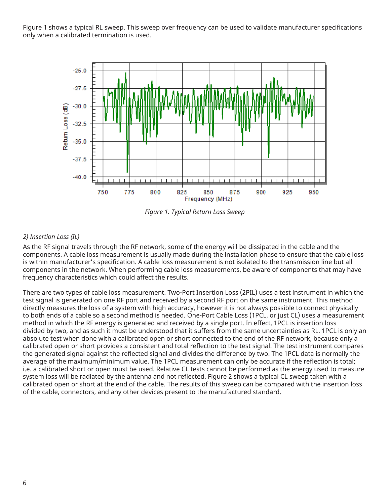Figure 1 shows a typical RL sweep. This sweep over frequency can be used to validate manufacturer specifications only when a calibrated termination is used.



*Figure 1. Typical Return Loss Sweep*

## *2) Insertion Loss (IL)*

As the RF signal travels through the RF network, some of the energy will be dissipated in the cable and the components. A cable loss measurement is usually made during the installation phase to ensure that the cable loss is within manufacturer's specification. A cable loss measurement is not isolated to the transmission line but all components in the network. When performing cable loss measurements, be aware of components that may have frequency characteristics which could affect the results.

There are two types of cable loss measurement. Two-Port Insertion Loss (2PIL) uses a test instrument in which the test signal is generated on one RF port and received by a second RF port on the same instrument. This method directly measures the loss of a system with high accuracy, however it is not always possible to connect physically to both ends of a cable so a second method is needed. One-Port Cable Loss (1PCL, or just CL) uses a measurement method in which the RF energy is generated and received by a single port. In effect, 1PCL is insertion loss divided by two, and as such it must be understood that it suffers from the same uncertainties as RL. 1PCL is only an absolute test when done with a calibrated open or short connected to the end of the RF network, because only a calibrated open or short provides a consistent and total reflection to the test signal. The test instrument compares the generated signal against the reflected signal and divides the difference by two. The 1PCL data is normally the average of the maximum/minimum value. The 1PCL measurement can only be accurate if the reflection is total; i.e. a calibrated short or open must be used. Relative CL tests cannot be performed as the energy used to measure system loss will be radiated by the antenna and not reflected. Figure 2 shows a typical CL sweep taken with a calibrated open or short at the end of the cable. The results of this sweep can be compared with the insertion loss of the cable, connectors, and any other devices present to the manufactured standard.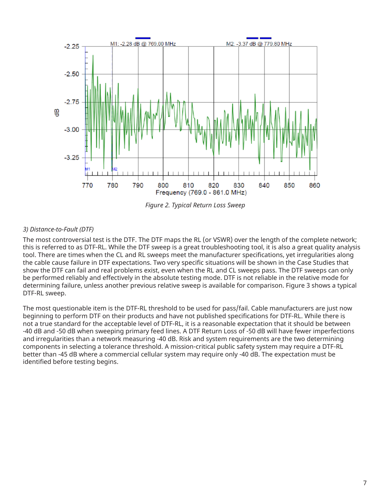

*Figure 2. Typical Return Loss Sweep*

## *3) Distance-to-Fault (DTF)*

The most controversial test is the DTF. The DTF maps the RL (or VSWR) over the length of the complete network; this is referred to as DTF-RL. While the DTF sweep is a great troubleshooting tool, it is also a great quality analysis tool. There are times when the CL and RL sweeps meet the manufacturer specifications, yet irregularities along the cable cause failure in DTF expectations. Two very specific situations will be shown in the Case Studies that show the DTF can fail and real problems exist, even when the RL and CL sweeps pass. The DTF sweeps can only be performed reliably and effectively in the absolute testing mode. DTF is not reliable in the relative mode for determining failure, unless another previous relative sweep is available for comparison. Figure 3 shows a typical DTF-RL sweep.

The most questionable item is the DTF-RL threshold to be used for pass/fail. Cable manufacturers are just now beginning to perform DTF on their products and have not published specifications for DTF-RL. While there is not a true standard for the acceptable level of DTF-RL, it is a reasonable expectation that it should be between -40 dB and -50 dB when sweeping primary feed lines. A DTF Return Loss of -50 dB will have fewer imperfections and irregularities than a network measuring -40 dB. Risk and system requirements are the two determining components in selecting a tolerance threshold. A mission-critical public safety system may require a DTF-RL better than -45 dB where a commercial cellular system may require only -40 dB. The expectation must be identified before testing begins.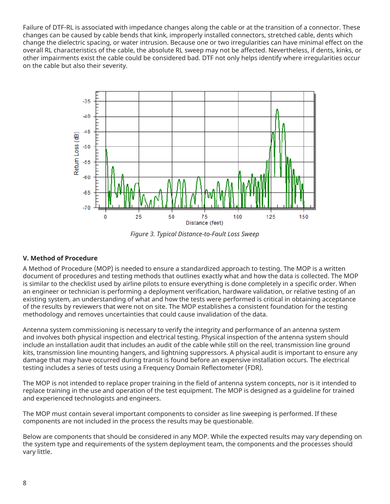Failure of DTF-RL is associated with impedance changes along the cable or at the transition of a connector. These changes can be caused by cable bends that kink, improperly installed connectors, stretched cable, dents which change the dielectric spacing, or water intrusion. Because one or two irregularities can have minimal effect on the overall RL characteristics of the cable, the absolute RL sweep may not be affected. Nevertheless, if dents, kinks, or other impairments exist the cable could be considered bad. DTF not only helps identify where irregularities occur on the cable but also their severity.



*Figure 3. Typical Distance-to-Fault Loss Sweep*

#### **V. Method of Procedure**

A Method of Procedure (MOP) is needed to ensure a standardized approach to testing. The MOP is a written document of procedures and testing methods that outlines exactly what and how the data is collected. The MOP is similar to the checklist used by airline pilots to ensure everything is done completely in a specific order. When an engineer or technician is performing a deployment verification, hardware validation, or relative testing of an existing system, an understanding of what and how the tests were performed is critical in obtaining acceptance of the results by reviewers that were not on site. The MOP establishes a consistent foundation for the testing methodology and removes uncertainties that could cause invalidation of the data.

Antenna system commissioning is necessary to verify the integrity and performance of an antenna system and involves both physical inspection and electrical testing. Physical inspection of the antenna system should include an installation audit that includes an audit of the cable while still on the reel, transmission line ground kits, transmission line mounting hangers, and lightning suppressors. A physical audit is important to ensure any damage that may have occurred during transit is found before an expensive installation occurs. The electrical testing includes a series of tests using a Frequency Domain Reflectometer (FDR).

The MOP is not intended to replace proper training in the field of antenna system concepts, nor is it intended to replace training in the use and operation of the test equipment. The MOP is designed as a guideline for trained and experienced technologists and engineers.

The MOP must contain several important components to consider as line sweeping is performed. If these components are not included in the process the results may be questionable.

Below are components that should be considered in any MOP. While the expected results may vary depending on the system type and requirements of the system deployment team, the components and the processes should vary little.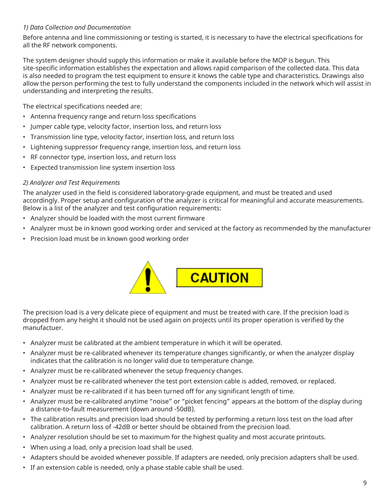## *1) Data Collection and Documentation*

Before antenna and line commissioning or testing is started, it is necessary to have the electrical specifications for all the RF network components.

The system designer should supply this information or make it available before the MOP is begun. This site-specific information establishes the expectation and allows rapid comparison of the collected data. This data is also needed to program the test equipment to ensure it knows the cable type and characteristics. Drawings also allow the person performing the test to fully understand the components included in the network which will assist in understanding and interpreting the results.

The electrical specifications needed are:

- Antenna frequency range and return loss specifications
- Jumper cable type, velocity factor, insertion loss, and return loss
- Transmission line type, velocity factor, insertion loss, and return loss
- Lightening suppressor frequency range, insertion loss, and return loss
- RF connector type, insertion loss, and return loss
- Expected transmission line system insertion loss

#### *2) Analyzer and Test Requirements*

The analyzer used in the field is considered laboratory-grade equipment, and must be treated and used accordingly. Proper setup and configuration of the analyzer is critical for meaningful and accurate measurements. Below is a list of the analyzer and test configuration requirements:

- Analyzer should be loaded with the most current firmware
- Analyzer must be in known good working order and serviced at the factory as recommended by the manufacturer
- Precision load must be in known good working order



The precision load is a very delicate piece of equipment and must be treated with care. If the precision load is dropped from any height it should not be used again on projects until its proper operation is verified by the manufactuer.

- Analyzer must be calibrated at the ambient temperature in which it will be operated.
- Analyzer must be re-calibrated whenever its temperature changes significantly, or when the analyzer display indicates that the calibration is no longer valid due to temperature change.
- Analyzer must be re-calibrated whenever the setup frequency changes.
- Analyzer must be re-calibrated whenever the test port extension cable is added, removed, or replaced.
- Analyzer must be re-calibrated if it has been turned off for any significant length of time.
- Analyzer must be re-calibrated anytime "noise" or "picket fencing" appears at the bottom of the display during a distance-to-fault measurement (down around -50dB).
- The calibration results and precision load should be tested by performing a return loss test on the load after calibration. A return loss of -42dB or better should be obtained from the precision load.
- Analyzer resolution should be set to maximum for the highest quality and most accurate printouts.
- When using a load, only a precision load shall be used.
- Adapters should be avoided whenever possible. If adapters are needed, only precision adapters shall be used.
- If an extension cable is needed, only a phase stable cable shall be used.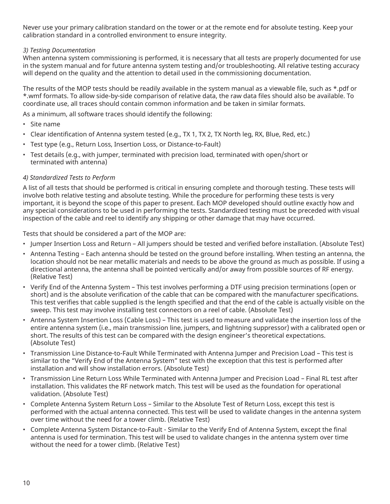Never use your primary calibration standard on the tower or at the remote end for absolute testing. Keep your calibration standard in a controlled environment to ensure integrity.

#### *3) Testing Documentation*

When antenna system commissioning is performed, it is necessary that all tests are properly documented for use in the system manual and for future antenna system testing and/or troubleshooting. All relative testing accuracy will depend on the quality and the attention to detail used in the commissioning documentation.

The results of the MOP tests should be readily available in the system manual as a viewable file, such as \*.pdf or \*.wmf formats. To allow side-by-side comparison of relative data, the raw data files should also be available. To coordinate use, all traces should contain common information and be taken in similar formats.

As a minimum, all software traces should identify the following:

- Site name
- Clear identification of Antenna system tested (e.g., TX 1, TX 2, TX North leg, RX, Blue, Red, etc.)
- Test type (e.g., Return Loss, Insertion Loss, or Distance-to-Fault)
- Test details (e.g., with jumper, terminated with precision load, terminated with open/short or terminated with antenna)

#### *4) Standardized Tests to Perform*

A list of all tests that should be performed is critical in ensuring complete and thorough testing. These tests will involve both relative testing and absolute testing. While the procedure for performing these tests is very important, it is beyond the scope of this paper to present. Each MOP developed should outline exactly how and any special considerations to be used in performing the tests. Standardized testing must be preceded with visual inspection of the cable and reel to identify any shipping or other damage that may have occurred.

Tests that should be considered a part of the MOP are:

- Jumper Insertion Loss and Return All jumpers should be tested and verified before installation. (Absolute Test)
- Antenna Testing Each antenna should be tested on the ground before installing. When testing an antenna, the location should not be near metallic materials and needs to be above the ground as much as possible. If using a directional antenna, the antenna shall be pointed vertically and/or away from possible sources of RF energy. (Relative Test)
- Verify End of the Antenna System This test involves performing a DTF using precision terminations (open or short) and is the absolute verification of the cable that can be compared with the manufacturer specifications. This test verifies that cable supplied is the length specified and that the end of the cable is actually visible on the sweep. This test may involve installing test connectors on a reel of cable. (Absolute Test)
- Antenna System Insertion Loss (Cable Loss) This test is used to measure and validate the insertion loss of the entire antenna system (i.e., main transmission line, jumpers, and lightning suppressor) with a calibrated open or short. The results of this test can be compared with the design engineer's theoretical expectations. (Absolute Test)
- Transmission Line Distance-to-Fault While Terminated with Antenna Jumper and Precision Load This test is similar to the "Verify End of the Antenna System" test with the exception that this test is performed after installation and will show installation errors. (Absolute Test)
- Transmission Line Return Loss While Terminated with Antenna Jumper and Precision Load Final RL test after installation. This validates the RF network match. This test will be used as the foundation for operational validation. (Absolute Test)
- Complete Antenna System Return Loss Similar to the Absolute Test of Return Loss, except this test is performed with the actual antenna connected. This test will be used to validate changes in the antenna system over time without the need for a tower climb. (Relative Test)
- Complete Antenna System Distance-to-Fault Similar to the Verify End of Antenna System, except the final antenna is used for termination. This test will be used to validate changes in the antenna system over time without the need for a tower climb. (Relative Test)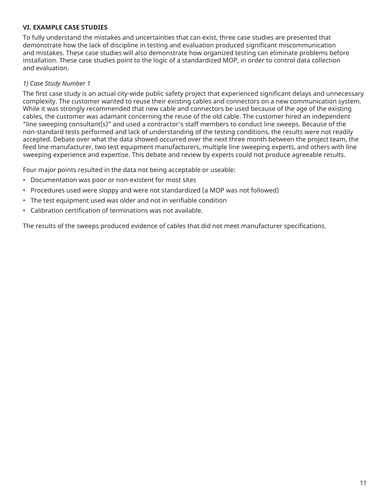#### **VI. EXAMPLE CASE STUDIES**

To fully understand the mistakes and uncertainties that can exist, three case studies are presented that demonstrate how the lack of discipline in testing and evaluation produced significant miscommunication and mistakes. These case studies will also demonstrate how organized testing can eliminate problems before installation. These case studies point to the logic of a standardized MOP, in order to control data collection and evaluation.

#### *1) Case Study Number 1*

The first case study is an actual city-wide public safety project that experienced significant delays and unnecessary complexity. The customer wanted to reuse their existing cables and connectors on a new communication system. While it was strongly recommended that new cable and connectors be used because of the age of the existing cables, the customer was adamant concerning the reuse of the old cable. The customer hired an independent "line sweeping consultant(s)" and used a contractor's staff members to conduct line sweeps. Because of the non-standard tests performed and lack of understanding of the testing conditions, the results were not readily accepted. Debate over what the data showed occurred over the next three month between the project team, the feed line manufacturer, two test equipment manufacturers, multiple line sweeping experts, and others with line sweeping experience and expertise. This debate and review by experts could not produce agreeable results.

Four major points resulted in the data not being acceptable or useable:

- Documentation was poor or non-existent for most sites
- Procedures used were sloppy and were not standardized (a MOP was not followed)
- The test equipment used was older and not in verifiable condition
- Calibration certification of terminations was not available.

The results of the sweeps produced evidence of cables that did not meet manufacturer specifications.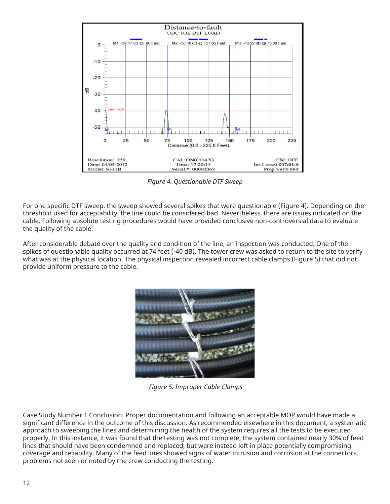

*Figure 4. Questionable DTF Sweep*

For one specific DTF sweep, the sweep showed several spikes that were questionable (Figure 4). Depending on the threshold used for acceptability, the line could be considered bad. Nevertheless, there are issues indicated on the cable. Following absolute testing procedures would have provided conclusive non-controversial data to evaluate the quality of the cable.

After considerable debate over the quality and condition of the line, an inspection was conducted. One of the spikes of questionable quality occurred at 74 feet (-40 dB). The tower crew was asked to return to the site to verify what was at the physical location. The physical inspection revealed incorrect cable clamps (Figure 5) that did not provide uniform pressure to the cable.



*Figure 5. Improper Cable Clamps*

Case Study Number 1 Conclusion: Proper documentation and following an acceptable MOP would have made a significant difference in the outcome of this discussion. As recommended elsewhere in this document, a systematic approach to sweeping the lines and determining the health of the system requires all the tests to be executed properly. In this instance, it was found that the testing was not complete; the system contained nearly 30% of feed lines that should have been condemned and replaced, but were instead left in place potentially compromising coverage and reliability. Many of the feed lines showed signs of water intrusion and corrosion at the connectors, problems not seen or noted by the crew conducting the testing.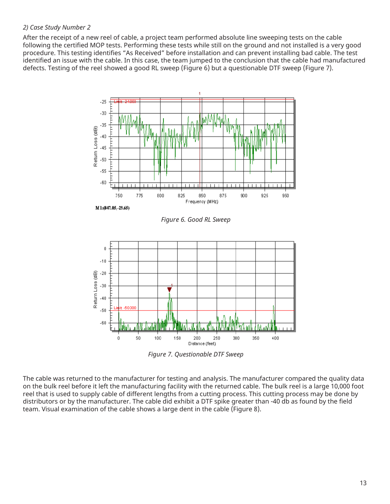#### *2) Case Study Number 2*

After the receipt of a new reel of cable, a project team performed absolute line sweeping tests on the cable following the certified MOP tests. Performing these tests while still on the ground and not installed is a very good procedure. This testing identifies "As Received" before installation and can prevent installing bad cable. The test identified an issue with the cable. In this case, the team jumped to the conclusion that the cable had manufactured defects. Testing of the reel showed a good RL sweep (Figure 6) but a questionable DTF sweep (Figure 7).



*Figure 7. Questionable DTF Sweep*

The cable was returned to the manufacturer for testing and analysis. The manufacturer compared the quality data on the bulk reel before it left the manufacturing facility with the returned cable. The bulk reel is a large 10,000 foot reel that is used to supply cable of different lengths from a cutting process. This cutting process may be done by distributors or by the manufacturer. The cable did exhibit a DTF spike greater than -40 db as found by the field team. Visual examination of the cable shows a large dent in the cable (Figure 8).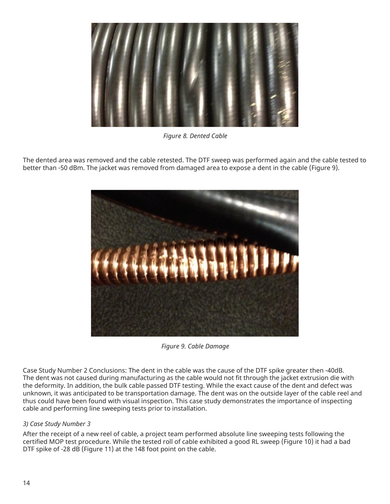

*Figure 8. Dented Cable*

The dented area was removed and the cable retested. The DTF sweep was performed again and the cable tested to better than -50 dBm. The jacket was removed from damaged area to expose a dent in the cable (Figure 9).



*Figure 9. Cable Damage*

Case Study Number 2 Conclusions: The dent in the cable was the cause of the DTF spike greater then -40dB. The dent was not caused during manufacturing as the cable would not fit through the jacket extrusion die with the deformity. In addition, the bulk cable passed DTF testing. While the exact cause of the dent and defect was unknown, it was anticipated to be transportation damage. The dent was on the outside layer of the cable reel and thus could have been found with visual inspection. This case study demonstrates the importance of inspecting cable and performing line sweeping tests prior to installation.

#### *3) Case Study Number 3*

After the receipt of a new reel of cable, a project team performed absolute line sweeping tests following the certified MOP test procedure. While the tested roll of cable exhibited a good RL sweep (Figure 10) it had a bad DTF spike of -28 dB (Figure 11) at the 148 foot point on the cable.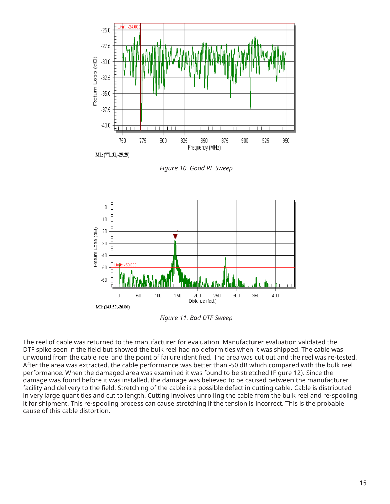

*Figure 10. Good RL Sweep*



*Figure 11. Bad DTF Sweep*

The reel of cable was returned to the manufacturer for evaluation. Manufacturer evaluation validated the DTF spike seen in the field but showed the bulk reel had no deformities when it was shipped. The cable was unwound from the cable reel and the point of failure identified. The area was cut out and the reel was re-tested. After the area was extracted, the cable performance was better than -50 dB which compared with the bulk reel performance. When the damaged area was examined it was found to be stretched (Figure 12). Since the damage was found before it was installed, the damage was believed to be caused between the manufacturer facility and delivery to the field. Stretching of the cable is a possible defect in cutting cable. Cable is distributed in very large quantities and cut to length. Cutting involves unrolling the cable from the bulk reel and re-spooling it for shipment. This re-spooling process can cause stretching if the tension is incorrect. This is the probable cause of this cable distortion.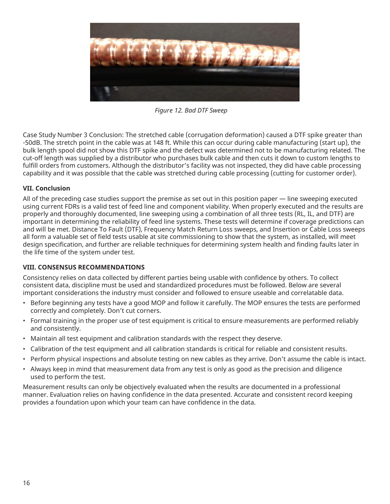

*Figure 12. Bad DTF Sweep*

Case Study Number 3 Conclusion: The stretched cable (corrugation deformation) caused a DTF spike greater than -50dB. The stretch point in the cable was at 148 ft. While this can occur during cable manufacturing (start up), the bulk length spool did not show this DTF spike and the defect was determined not to be manufacturing related. The cut-off length was supplied by a distributor who purchases bulk cable and then cuts it down to custom lengths to fulfill orders from customers. Although the distributor's facility was not inspected, they did have cable processing capability and it was possible that the cable was stretched during cable processing (cutting for customer order).

#### **VII. Conclusion**

All of the preceding case studies support the premise as set out in this position paper — line sweeping executed using current FDRs is a valid test of feed line and component viability. When properly executed and the results are properly and thoroughly documented, line sweeping using a combination of all three tests (RL, IL, and DTF) are important in determining the reliability of feed line systems. These tests will determine if coverage predictions can and will be met. Distance To Fault (DTF), Frequency Match Return Loss sweeps, and Insertion or Cable Loss sweeps all form a valuable set of field tests usable at site commissioning to show that the system, as installed, will meet design specification, and further are reliable techniques for determining system health and finding faults later in the life time of the system under test.

#### **VIII. CONSENSUS RECOMMENDATIONS**

Consistency relies on data collected by different parties being usable with confidence by others. To collect consistent data, discipline must be used and standardized procedures must be followed. Below are several important considerations the industry must consider and followed to ensure useable and correlatable data.

- Before beginning any tests have a good MOP and follow it carefully. The MOP ensures the tests are performed correctly and completely. Don't cut corners.
- Formal training in the proper use of test equipment is critical to ensure measurements are performed reliably and consistently.
- Maintain all test equipment and calibration standards with the respect they deserve.
- Calibration of the test equipment and all calibration standards is critical for reliable and consistent results.
- Perform physical inspections and absolute testing on new cables as they arrive. Don't assume the cable is intact.
- Always keep in mind that measurement data from any test is only as good as the precision and diligence used to perform the test.

Measurement results can only be objectively evaluated when the results are documented in a professional manner. Evaluation relies on having confidence in the data presented. Accurate and consistent record keeping provides a foundation upon which your team can have confidence in the data.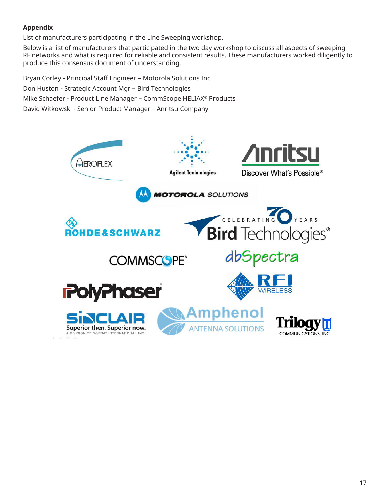## **Appendix**

List of manufacturers participating in the Line Sweeping workshop.

Below is a list of manufacturers that participated in the two day workshop to discuss all aspects of sweeping RF networks and what is required for reliable and consistent results. These manufacturers worked diligently to produce this consensus document of understanding.

Bryan Corley - Principal Staff Engineer – Motorola Solutions Inc. Don Huston - Strategic Account Mgr – Bird Technologies Mike Schaefer - Product Line Manager – CommScope HELIAX® Products David Witkowski - Senior Product Manager – Anritsu Company